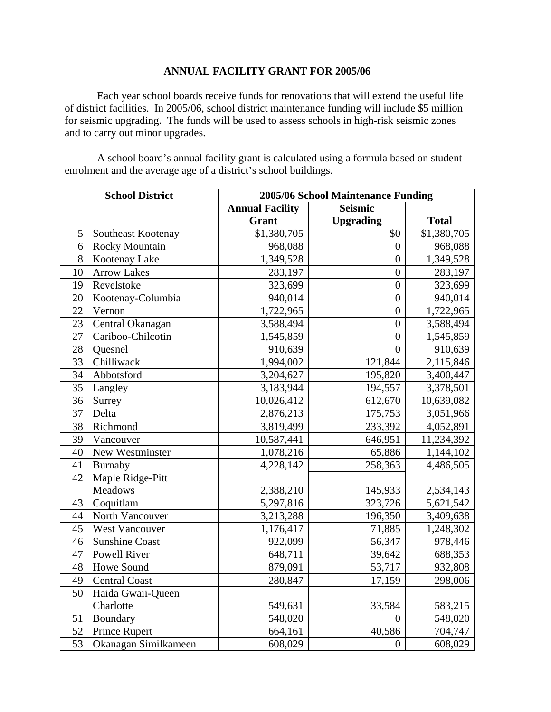## **ANNUAL FACILITY GRANT FOR 2005/06**

Each year school boards receive funds for renovations that will extend the useful life of district facilities. In 2005/06, school district maintenance funding will include \$5 million for seismic upgrading. The funds will be used to assess schools in high-risk seismic zones and to carry out minor upgrades.

 A school board's annual facility grant is calculated using a formula based on student enrolment and the average age of a district's school buildings.

| <b>School District</b> |                       | 2005/06 School Maintenance Funding |                  |              |
|------------------------|-----------------------|------------------------------------|------------------|--------------|
|                        |                       | <b>Annual Facility</b>             | <b>Seismic</b>   |              |
|                        |                       | <b>Grant</b>                       | <b>Upgrading</b> | <b>Total</b> |
| 5                      | Southeast Kootenay    | \$1,380,705                        | \$0              | \$1,380,705  |
| 6                      | <b>Rocky Mountain</b> | 968,088                            | $\theta$         | 968,088      |
| 8                      | Kootenay Lake         | 1,349,528                          | $\overline{0}$   | 1,349,528    |
| 10                     | <b>Arrow Lakes</b>    | 283,197                            | $\overline{0}$   | 283,197      |
| 19                     | Revelstoke            | 323,699                            | $\overline{0}$   | 323,699      |
| 20                     | Kootenay-Columbia     | 940,014                            | $\overline{0}$   | 940,014      |
| 22                     | Vernon                | 1,722,965                          | $\overline{0}$   | 1,722,965    |
| 23                     | Central Okanagan      | 3,588,494                          | $\overline{0}$   | 3,588,494    |
| 27                     | Cariboo-Chilcotin     | 1,545,859                          | $\overline{0}$   | 1,545,859    |
| 28                     | Quesnel               | 910,639                            | $\overline{0}$   | 910,639      |
| 33                     | Chilliwack            | 1,994,002                          | 121,844          | 2,115,846    |
| 34                     | Abbotsford            | 3,204,627                          | 195,820          | 3,400,447    |
| 35                     | Langley               | 3,183,944                          | 194,557          | 3,378,501    |
| 36                     | Surrey                | 10,026,412                         | 612,670          | 10,639,082   |
| 37                     | Delta                 | 2,876,213                          | 175,753          | 3,051,966    |
| 38                     | Richmond              | 3,819,499                          | 233,392          | 4,052,891    |
| 39                     | Vancouver             | 10,587,441                         | 646,951          | 11,234,392   |
| 40                     | New Westminster       | 1,078,216                          | 65,886           | 1,144,102    |
| 41                     | Burnaby               | 4,228,142                          | 258,363          | 4,486,505    |
| 42                     | Maple Ridge-Pitt      |                                    |                  |              |
|                        | Meadows               | 2,388,210                          | 145,933          | 2,534,143    |
| 43                     | Coquitlam             | 5,297,816                          | 323,726          | 5,621,542    |
| 44                     | North Vancouver       | 3,213,288                          | 196,350          | 3,409,638    |
| 45                     | <b>West Vancouver</b> | 1,176,417                          | 71,885           | 1,248,302    |
| 46                     | <b>Sunshine Coast</b> | 922,099                            | 56,347           | 978,446      |
| 47                     | <b>Powell River</b>   | 648,711                            | 39,642           | 688,353      |
| 48                     | Howe Sound            | 879,091                            | 53,717           | 932,808      |
| 49                     | <b>Central Coast</b>  | 280,847                            | 17,159           | 298,006      |
| 50                     | Haida Gwaii-Queen     |                                    |                  |              |
|                        | Charlotte             | 549,631                            | 33,584           | 583,215      |
| 51                     | Boundary              | 548,020                            | $\overline{0}$   | 548,020      |
| 52                     | Prince Rupert         | 664,161                            | 40,586           | 704,747      |
| 53                     | Okanagan Similkameen  | 608,029                            | $\boldsymbol{0}$ | 608,029      |